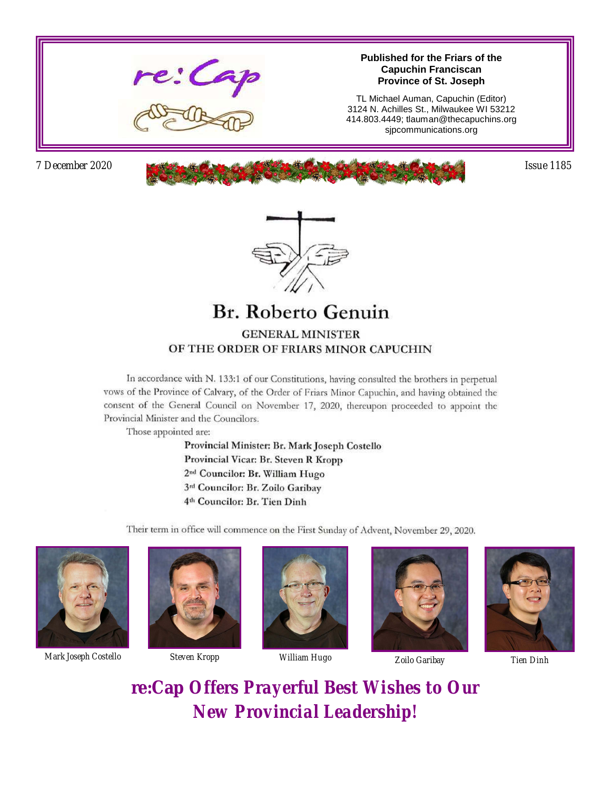

#### **Published for the Friars of the Capuchin Franciscan Province of St. Joseph**

TL Michael Auman, Capuchin (Editor) 3124 N. Achilles St., Milwaukee WI 53212 414.803.4449; tlauman@thecapuchins.org sjpcommunications.org

*7 December 2020 Issue 1185* 



#### **Br. Roberto Genuin GENERAL MINISTER** OF THE ORDER OF FRIARS MINOR CAPUCHIN

In accordance with N. 133:1 of our Constitutions, having consulted the brothers in perpetual vows of the Province of Calvary, of the Order of Friars Minor Capuchin, and having obtained the consent of the General Council on November 17, 2020, thereupon proceeded to appoint the Provincial Minister and the Councilors.

Those appointed are:

Provincial Minister: Br. Mark Joseph Costello Provincial Vicar: Br. Steven R Kropp 2<sup>nd</sup> Councilor: Br. William Hugo 3rd Councilor: Br. Zoilo Garibay 4<sup>th</sup> Councilor: Br. Tien Dinh

Their term in office will commence on the First Sunday of Advent, November 29, 2020.



*Mark Joseph Costello Steven Kropp William Hugo Zoilo Garibay Tien Dinh*









**re:Cap** *Offers Prayerful Best Wishes to Our New Provincial Leadership!*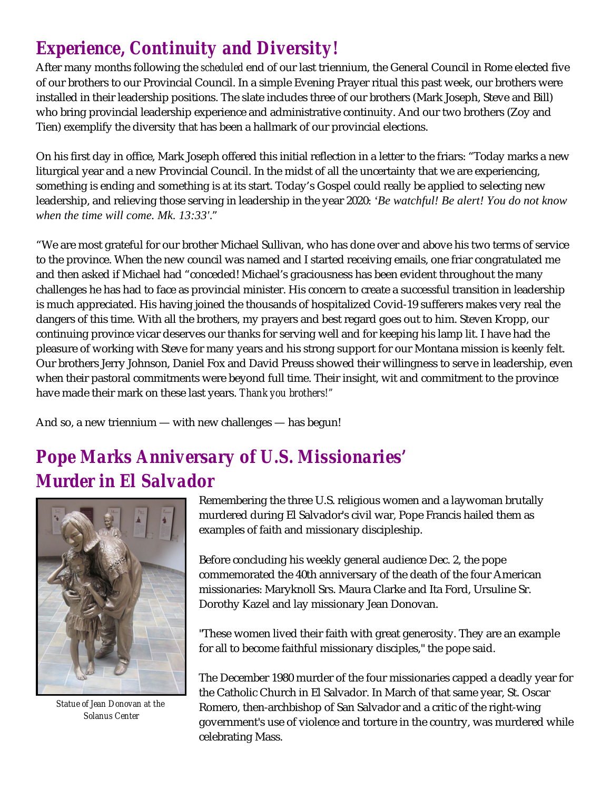# *Experience, Continuity and Diversity!*

After many months following the *scheduled* end of our last triennium, the General Council in Rome elected five of our brothers to our Provincial Council. In a simple Evening Prayer ritual this past week, our brothers were installed in their leadership positions. The slate includes three of our brothers (Mark Joseph, Steve and Bill) who bring provincial leadership experience and administrative continuity. And our two brothers (Zoy and Tien) exemplify the diversity that has been a hallmark of our provincial elections.

On his first day in office, Mark Joseph offered this initial reflection in a letter to the friars: "Today marks a new liturgical year and a new Provincial Council. In the midst of all the uncertainty that we are experiencing, something is ending and something is at its start. Today's Gospel could really be applied to selecting new leadership, and relieving those serving in leadership in the year 2020: *'Be watchful! Be alert! You do not know when the time will come. Mk. 13:33'*."

"We are most grateful for our brother Michael Sullivan, who has done over and above his two terms of service to the province. When the new council was named and I started receiving emails, one friar congratulated me and then asked if Michael had "conceded! Michael's graciousness has been evident throughout the many challenges he has had to face as provincial minister. His concern to create a successful transition in leadership is much appreciated. His having joined the thousands of hospitalized Covid-19 sufferers makes very real the dangers of this time. With all the brothers, my prayers and best regard goes out to him. Steven Kropp, our continuing province vicar deserves our thanks for serving well and for keeping his lamp lit. I have had the pleasure of working with Steve for many years and his strong support for our Montana mission is keenly felt. Our brothers Jerry Johnson, Daniel Fox and David Preuss showed their willingness to serve in leadership, even when their pastoral commitments were beyond full time. Their insight, wit and commitment to the province have made their mark on these last years. *Thank you brothers!"*

And so, a new triennium — with new challenges — has begun!

# *Pope Marks Anniversary of U.S. Missionaries' Murder in El Salvador*



*Statue of Jean Donovan at the Solanus Center*

Remembering the three U.S. religious women and a laywoman brutally murdered during El Salvador's civil war, Pope Francis hailed them as examples of faith and missionary discipleship.

Before concluding his weekly general audience Dec. 2, the pope commemorated the 40th anniversary of the death of the four American missionaries: Maryknoll Srs. Maura Clarke and Ita Ford, Ursuline Sr. Dorothy Kazel and lay missionary Jean Donovan.

"These women lived their faith with great generosity. They are an example for all to become faithful missionary disciples," the pope said.

The December 1980 murder of the four missionaries capped a deadly year for the Catholic Church in El Salvador. In March of that same year, St. Oscar Romero, then-archbishop of San Salvador and a critic of the right-wing government's use of violence and torture in the country, was murdered while celebrating Mass.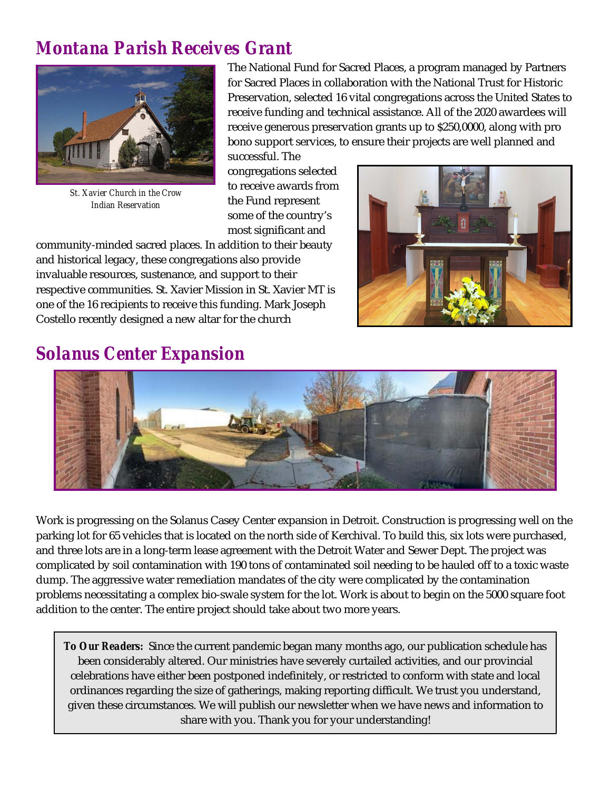## *Montana Parish Receives Grant*



*St. Xavier Church in the Crow Indian Reservation*

The National Fund for Sacred Places, a program managed by Partners for Sacred Places in collaboration with the National Trust for Historic Preservation, selected 16 vital congregations across the United States to receive funding and technical assistance. All of the 2020 awardees will receive generous preservation grants up to \$250,0000, along with pro bono support services, to ensure their projects are well planned and successful. The

congregations selected to receive awards from the Fund represent some of the country's most significant and

community-minded sacred places. In addition to their beauty and historical legacy, these congregations also provide invaluable resources, sustenance, and support to their respective communities. St. Xavier Mission in St. Xavier MT is one of the 16 recipients to receive this funding. Mark Joseph Costello recently designed a new altar for the church



### *Solanus Center Expansion*



Work is progressing on the Solanus Casey Center expansion in Detroit. Construction is progressing well on the parking lot for 65 vehicles that is located on the north side of Kerchival. To build this, six lots were purchased, and three lots are in a long-term lease agreement with the Detroit Water and Sewer Dept. The project was complicated by soil contamination with 190 tons of contaminated soil needing to be hauled off to a toxic waste dump. The aggressive water remediation mandates of the city were complicated by the contamination problems necessitating a complex bio-swale system for the lot. Work is about to begin on the 5000 square foot addition to the center. The entire project should take about two more years.

*To Our Readers:* Since the current pandemic began many months ago, our publication schedule has been considerably altered. Our ministries have severely curtailed activities, and our provincial celebrations have either been postponed indefinitely, or restricted to conform with state and local ordinances regarding the size of gatherings, making reporting difficult. We trust you understand, given these circumstances. We will publish our newsletter when we have news and information to share with you. Thank you for your understanding!